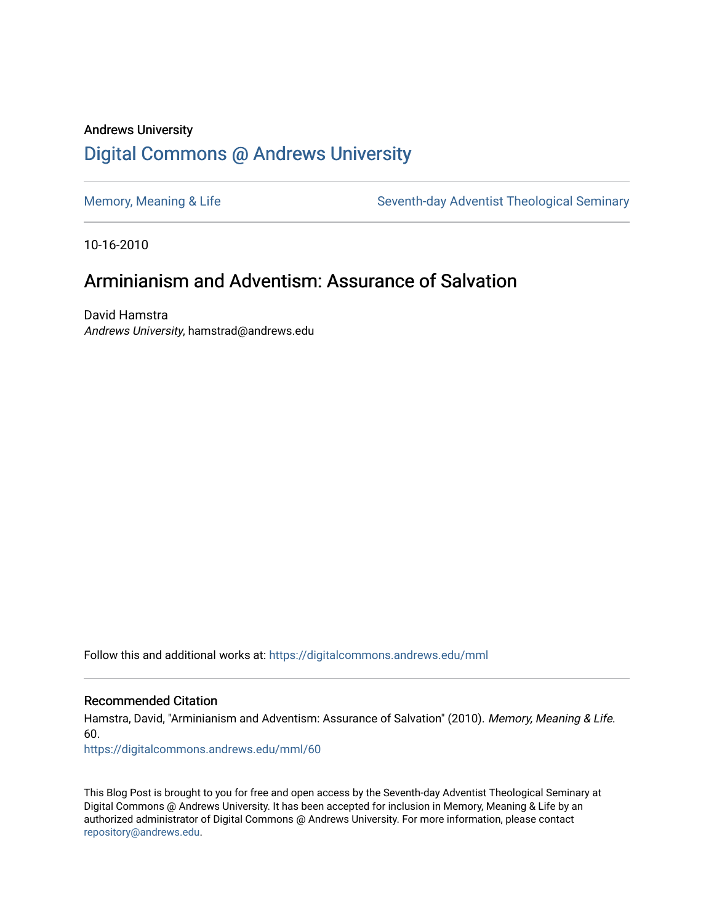## Andrews University [Digital Commons @ Andrews University](https://digitalcommons.andrews.edu/)

[Memory, Meaning & Life](https://digitalcommons.andrews.edu/mml) Seventh-day Adventist Theological Seminary

10-16-2010

# Arminianism and Adventism: Assurance of Salvation

David Hamstra Andrews University, hamstrad@andrews.edu

Follow this and additional works at: [https://digitalcommons.andrews.edu/mml](https://digitalcommons.andrews.edu/mml?utm_source=digitalcommons.andrews.edu%2Fmml%2F60&utm_medium=PDF&utm_campaign=PDFCoverPages) 

#### Recommended Citation

Hamstra, David, "Arminianism and Adventism: Assurance of Salvation" (2010). Memory, Meaning & Life. 60.

[https://digitalcommons.andrews.edu/mml/60](https://digitalcommons.andrews.edu/mml/60?utm_source=digitalcommons.andrews.edu%2Fmml%2F60&utm_medium=PDF&utm_campaign=PDFCoverPages)

This Blog Post is brought to you for free and open access by the Seventh-day Adventist Theological Seminary at Digital Commons @ Andrews University. It has been accepted for inclusion in Memory, Meaning & Life by an authorized administrator of Digital Commons @ Andrews University. For more information, please contact [repository@andrews.edu](mailto:repository@andrews.edu).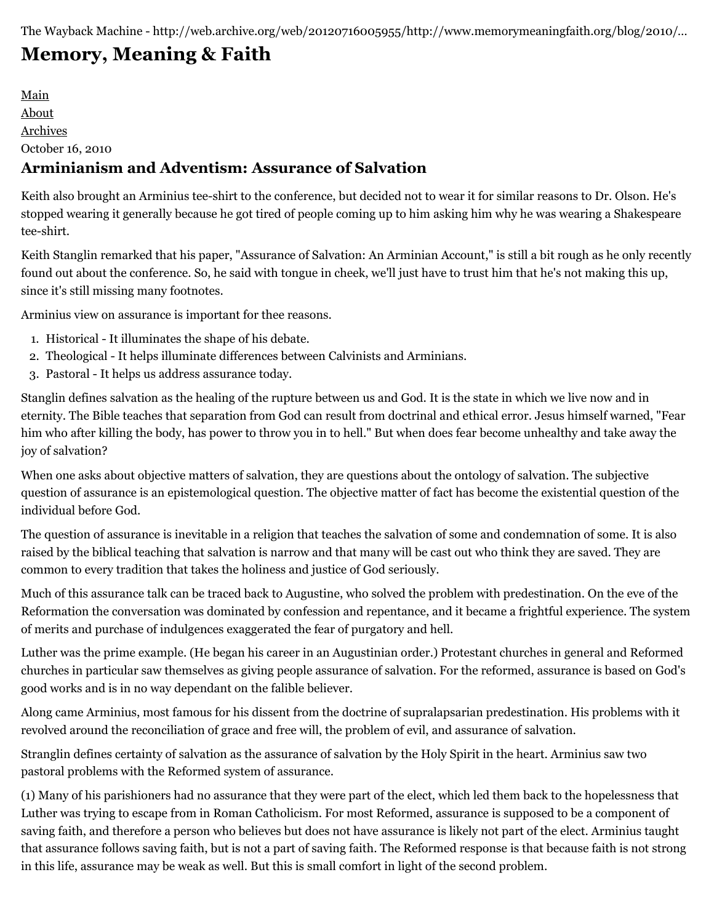# **[Memory, Meaning & Faith](http://web.archive.org/web/20120716005955/http://www.memorymeaningfaith.org/blog/)**

[Main](http://web.archive.org/web/20120716005955/http://www.memorymeaningfaith.org/blog) [About](http://web.archive.org/web/20120716005955/http://www.memorymeaningfaith.org/blog/about.html) [Archives](http://web.archive.org/web/20120716005955/http://www.memorymeaningfaith.org/blog/archives.html) October 16, 2010 **Arminianism and Adventism: Assurance of Salvation**

### Keith also brought an Arminius tee-shirt to the conference, but decided not to wear it for similar reasons to Dr. Olson. He's stopped wearing it generally because he got tired of people coming up to him asking him why he was wearing a Shakespeare tee-shirt.

Keith Stanglin remarked that his paper, "Assurance of Salvation: An Arminian Account," is still a bit rough as he only recently found out about the conference. So, he said with tongue in cheek, we'll just have to trust him that he's not making this up, since it's still missing many footnotes.

Arminius view on assurance is important for thee reasons.

- 1. Historical It illuminates the shape of his debate.
- 2. Theological It helps illuminate differences between Calvinists and Arminians.
- 3. Pastoral It helps us address assurance today.

Stanglin defines salvation as the healing of the rupture between us and God. It is the state in which we live now and in eternity. The Bible teaches that separation from God can result from doctrinal and ethical error. Jesus himself warned, "Fear him who after killing the body, has power to throw you in to hell." But when does fear become unhealthy and take away the joy of salvation?

When one asks about objective matters of salvation, they are questions about the ontology of salvation. The subjective question of assurance is an epistemological question. The objective matter of fact has become the existential question of the individual before God.

The question of assurance is inevitable in a religion that teaches the salvation of some and condemnation of some. It is also raised by the biblical teaching that salvation is narrow and that many will be cast out who think they are saved. They are common to every tradition that takes the holiness and justice of God seriously.

Much of this assurance talk can be traced back to Augustine, who solved the problem with predestination. On the eve of the Reformation the conversation was dominated by confession and repentance, and it became a frightful experience. The system of merits and purchase of indulgences exaggerated the fear of purgatory and hell.

Luther was the prime example. (He began his career in an Augustinian order.) Protestant churches in general and Reformed churches in particular saw themselves as giving people assurance of salvation. For the reformed, assurance is based on God's good works and is in no way dependant on the falible believer.

Along came Arminius, most famous for his dissent from the doctrine of supralapsarian predestination. His problems with it revolved around the reconciliation of grace and free will, the problem of evil, and assurance of salvation.

Stranglin defines certainty of salvation as the assurance of salvation by the Holy Spirit in the heart. Arminius saw two pastoral problems with the Reformed system of assurance.

(1) Many of his parishioners had no assurance that they were part of the elect, which led them back to the hopelessness that Luther was trying to escape from in Roman Catholicism. For most Reformed, assurance is supposed to be a component of saving faith, and therefore a person who believes but does not have assurance is likely not part of the elect. Arminius taught that assurance follows saving faith, but is not a part of saving faith. The Reformed response is that because faith is not strong in this life, assurance may be weak as well. But this is small comfort in light of the second problem.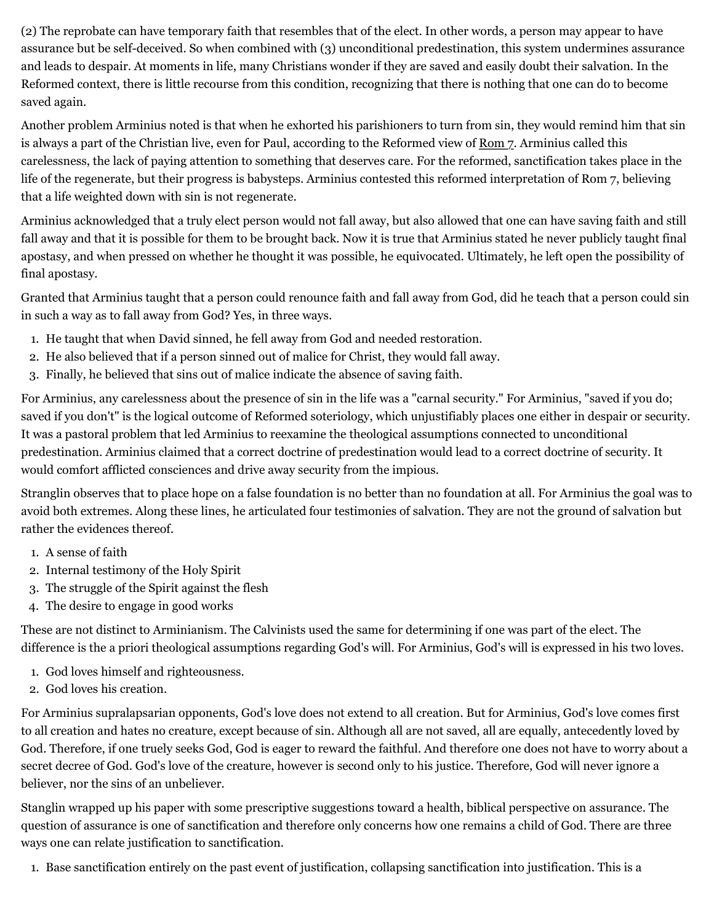(2) The reprobate can have temporary faith that resembles that of the elect. In other words, a person may appear to have assurance but be self-deceived. So when combined with (3) unconditional predestination, this system undermines assurance and leads to despair. At moments in life, many Christians wonder if they are saved and easily doubt their salvation. In the Reformed context, there is little recourse from this condition, recognizing that there is nothing that one can do to become saved again.

Another problem Arminius noted is that when he exhorted his parishioners to turn from sin, they would remind him that sin is always a part of the Christian live, even for Paul, according to the Reformed view of [Rom 7.](http://web.archive.org/web/20120716005955/http://www.biblestudytools.com/romans/7.html) Arminius called this carelessness, the lack of paying attention to something that deserves care. For the reformed, sanctification takes place in the life of the regenerate, but their progress is babysteps. Arminius contested this reformed interpretation of Rom 7, believing that a life weighted down with sin is not regenerate.

Arminius acknowledged that a truly elect person would not fall away, but also allowed that one can have saving faith and still fall away and that it is possible for them to be brought back. Now it is true that Arminius stated he never publicly taught final apostasy, and when pressed on whether he thought it was possible, he equivocated. Ultimately, he left open the possibility of final apostasy.

Granted that Arminius taught that a person could renounce faith and fall away from God, did he teach that a person could sin in such a way as to fall away from God? Yes, in three ways.

- 1. He taught that when David sinned, he fell away from God and needed restoration.
- 2. He also believed that if a person sinned out of malice for Christ, they would fall away.
- 3. Finally, he believed that sins out of malice indicate the absence of saving faith.

For Arminius, any carelessness about the presence of sin in the life was a "carnal security." For Arminius, "saved if you do; saved if you don't" is the logical outcome of Reformed soteriology, which unjustifiably places one either in despair or security. It was a pastoral problem that led Arminius to reexamine the theological assumptions connected to unconditional predestination. Arminius claimed that a correct doctrine of predestination would lead to a correct doctrine of security. It would comfort afflicted consciences and drive away security from the impious.

Stranglin observes that to place hope on a false foundation is no better than no foundation at all. For Arminius the goal was to avoid both extremes. Along these lines, he articulated four testimonies of salvation. They are not the ground of salvation but rather the evidences thereof.

- 1. A sense of faith
- 2. Internal testimony of the Holy Spirit
- 3. The struggle of the Spirit against the flesh
- 4. The desire to engage in good works

These are not distinct to Arminianism. The Calvinists used the same for determining if one was part of the elect. The difference is the a priori theological assumptions regarding God's will. For Arminius, God's will is expressed in his two loves.

- 1. God loves himself and righteousness.
- 2. God loves his creation.

For Arminius supralapsarian opponents, God's love does not extend to all creation. But for Arminius, God's love comes first to all creation and hates no creature, except because of sin. Although all are not saved, all are equally, antecedently loved by God. Therefore, if one truely seeks God, God is eager to reward the faithful. And therefore one does not have to worry about a secret decree of God. God's love of the creature, however is second only to his justice. Therefore, God will never ignore a believer, nor the sins of an unbeliever.

Stanglin wrapped up his paper with some prescriptive suggestions toward a health, biblical perspective on assurance. The question of assurance is one of sanctification and therefore only concerns how one remains a child of God. There are three ways one can relate justification to sanctification.

1. Base sanctification entirely on the past event of justification, collapsing sanctification into justification. This is a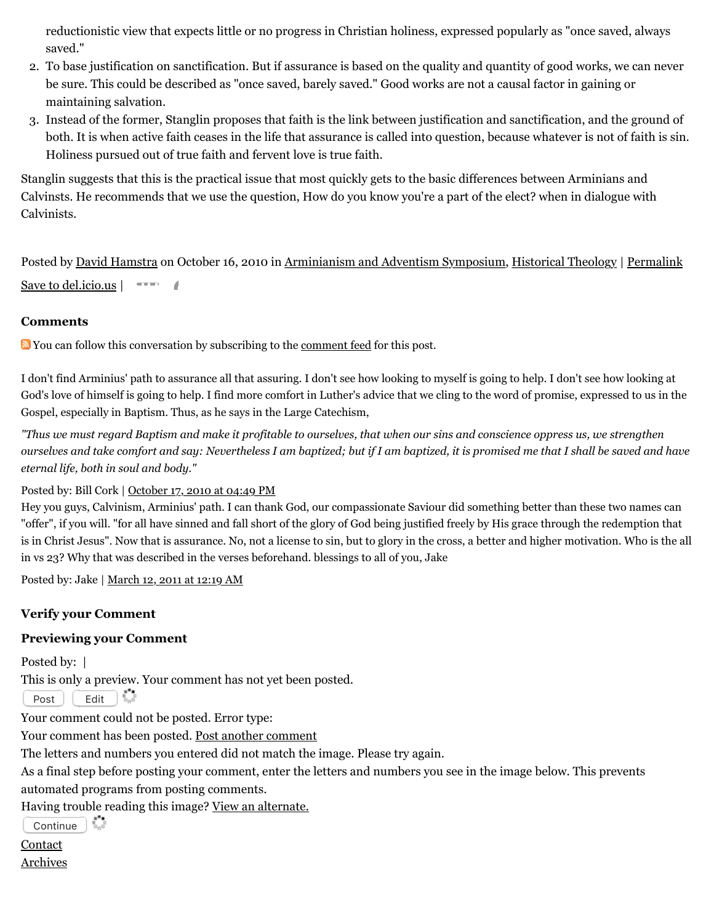reductionistic view that expects little or no progress in Christian holiness, expressed popularly as "once saved, always saved."

- 2. To base justification on sanctification. But if assurance is based on the quality and quantity of good works, we can never be sure. This could be described as "once saved, barely saved." Good works are not a causal factor in gaining or maintaining salvation.
- 3. Instead of the former, Stanglin proposes that faith is the link between justification and sanctification, and the ground of both. It is when active faith ceases in the life that assurance is called into question, because whatever is not of faith is sin. Holiness pursued out of true faith and fervent love is true faith.

Stanglin suggests that this is the practical issue that most quickly gets to the basic differences between Arminians and Calvinsts. He recommends that we use the question, How do you know you're a part of the elect? when in dialogue with Calvinists.

Posted by [David Hamstra](http://web.archive.org/web/20120716005955/http://profile.typepad.com/davidhamstra) on October 16, 2010 in [Arminianism and Adventism Symposium,](http://web.archive.org/web/20120716005955/http://www.memorymeaningfaith.org/blog/arminianism-and-adventism-symposium/) [Historical Theology](http://web.archive.org/web/20120716005955/http://www.memorymeaningfaith.org/blog/theology/) | [Permalink](http://web.archive.org/web/20120716005955/http://www.memorymeaningfaith.org/blog/2010/10/assurance-salvation.html) [Save to del.icio.us](http://web.archive.org/web/20120716005955/http://del.icio.us/post)  $\vert \quad \bullet \quad \bullet \quad \bullet$ 

#### **Comments**

You can follow this conversation by subscribing to the [comment feed](http://web.archive.org/web/20120716005955/http://www.memorymeaningfaith.org/blog/2010/10/assurance-salvation/comments/atom.xml) for this post.

I don't find Arminius' path to assurance all that assuring. I don't see how looking to myself is going to help. I don't see how looking at God's love of himself is going to help. I find more comfort in Luther's advice that we cling to the word of promise, expressed to us in the Gospel, especially in Baptism. Thus, as he says in the Large Catechism,

*"Thus we must regard Baptism and make it profitable to ourselves, that when our sins and conscience oppress us, we strengthen ourselves and take comfort and say: Nevertheless I am baptized; but if I am baptized, it is promised me that I shall be saved and have eternal life, both in soul and body."*

#### Posted by: Bill Cork | [October 17, 2010 at 04:49 PM](http://web.archive.org/web/20120716005955/http://www.memorymeaningfaith.org/blog/2010/10/assurance-salvation.html?cid=6a01287656f488970c0133f524bc72970b#comment-6a01287656f488970c0133f524bc72970b)

Hey you guys, Calvinism, Arminius' path. I can thank God, our compassionate Saviour did something better than these two names can "offer", if you will. "for all have sinned and fall short of the glory of God being justified freely by His grace through the redemption that is in Christ Jesus". Now that is assurance. No, not a license to sin, but to glory in the cross, a better and higher motivation. Who is the all in vs 23? Why that was described in the verses beforehand. blessings to all of you, Jake

Posted by: Jake | [March 12, 2011 at 12:19 AM](http://web.archive.org/web/20120716005955/http://www.memorymeaningfaith.org/blog/2010/10/assurance-salvation.html?cid=6a01287656f488970c014e5fce5d5f970c#comment-6a01287656f488970c014e5fce5d5f970c)

#### **Verify your Comment**

#### **Previewing your Comment**

Posted by:  $\vert$ 

This is only a preview. Your comment has not yet been posted.

Post Edit ÷.

Your comment could not be posted. Error type:

Your comment has been posted. [Post another comment](javascript:void%200;)

<span id="page-3-0"></span>The letters and numbers you entered did not match the image. Please try again.

As a final step before posting your comment, enter the letters and numbers you see in the image below. This prevents automated programs from posting comments.

Having trouble reading this image? [View an alternate.](#page-3-0)

**Continue** ete

**[Contact](http://web.archive.org/web/20120716005955/mailto:memorymeaningfaith@gmail.com)** 

[Archives](http://web.archive.org/web/20120716005955/http://memorymeaningfaith.typepad.com/blog/archives.html)